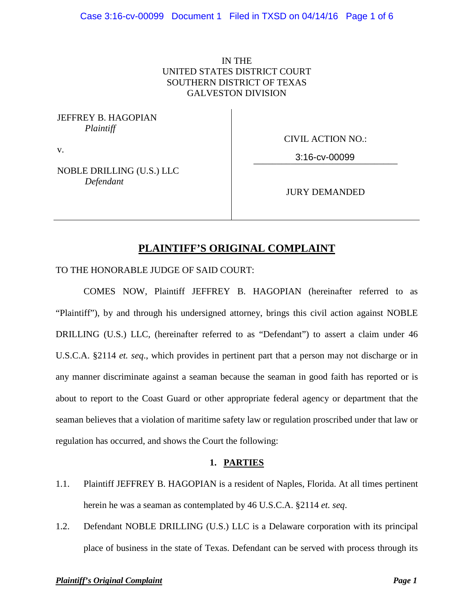# IN THE UNITED STATES DISTRICT COURT SOUTHERN DISTRICT OF TEXAS GALVESTON DIVISION

JEFFREY B. HAGOPIAN *Plaintiff*

CIVIL ACTION NO.:

v.

\_\_\_\_\_\_\_\_\_\_\_\_\_\_\_\_\_\_\_\_\_\_\_\_\_\_\_\_\_\_\_ 3:16-cv-00099

NOBLE DRILLING (U.S.) LLC *Defendant*

JURY DEMANDED

# **PLAINTIFF'S ORIGINAL COMPLAINT**

TO THE HONORABLE JUDGE OF SAID COURT:

COMES NOW, Plaintiff JEFFREY B. HAGOPIAN (hereinafter referred to as "Plaintiff"), by and through his undersigned attorney, brings this civil action against NOBLE DRILLING (U.S.) LLC, (hereinafter referred to as "Defendant") to assert a claim under 46 U.S.C.A. §2114 *et. seq*., which provides in pertinent part that a person may not discharge or in any manner discriminate against a seaman because the seaman in good faith has reported or is about to report to the Coast Guard or other appropriate federal agency or department that the seaman believes that a violation of maritime safety law or regulation proscribed under that law or regulation has occurred, and shows the Court the following:

# **1. PARTIES**

- 1.1. Plaintiff JEFFREY B. HAGOPIAN is a resident of Naples, Florida. At all times pertinent herein he was a seaman as contemplated by 46 U.S.C.A. §2114 *et. seq*.
- 1.2. Defendant NOBLE DRILLING (U.S.) LLC is a Delaware corporation with its principal place of business in the state of Texas. Defendant can be served with process through its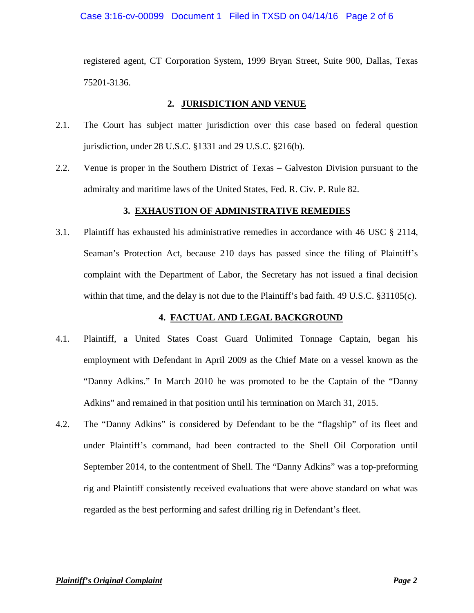### Case 3:16-cv-00099 Document 1 Filed in TXSD on 04/14/16 Page 2 of 6

registered agent, CT Corporation System, 1999 Bryan Street, Suite 900, Dallas, Texas 75201-3136.

### **2. JURISDICTION AND VENUE**

- 2.1. The Court has subject matter jurisdiction over this case based on federal question jurisdiction, under 28 U.S.C. §1331 and 29 U.S.C. §216(b).
- 2.2. Venue is proper in the Southern District of Texas Galveston Division pursuant to the admiralty and maritime laws of the United States, Fed. R. Civ. P. Rule 82.

# **3. EXHAUSTION OF ADMINISTRATIVE REMEDIES**

3.1. Plaintiff has exhausted his administrative remedies in accordance with 46 USC § 2114, Seaman's Protection Act, because 210 days has passed since the filing of Plaintiff's complaint with the Department of Labor, the Secretary has not issued a final decision within that time, and the delay is not due to the Plaintiff's bad faith. 49 U.S.C. §31105(c).

# **4. FACTUAL AND LEGAL BACKGROUND**

- 4.1. Plaintiff, a United States Coast Guard Unlimited Tonnage Captain, began his employment with Defendant in April 2009 as the Chief Mate on a vessel known as the "Danny Adkins." In March 2010 he was promoted to be the Captain of the "Danny Adkins" and remained in that position until his termination on March 31, 2015.
- 4.2. The "Danny Adkins" is considered by Defendant to be the "flagship" of its fleet and under Plaintiff's command, had been contracted to the Shell Oil Corporation until September 2014, to the contentment of Shell. The "Danny Adkins" was a top-preforming rig and Plaintiff consistently received evaluations that were above standard on what was regarded as the best performing and safest drilling rig in Defendant's fleet.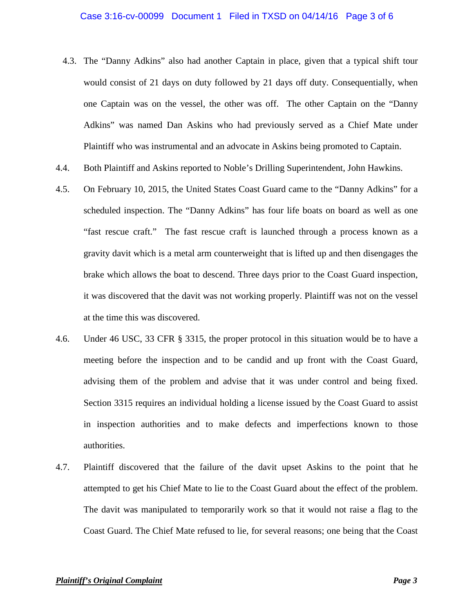#### Case 3:16-cv-00099 Document 1 Filed in TXSD on 04/14/16 Page 3 of 6

- 4.3. The "Danny Adkins" also had another Captain in place, given that a typical shift tour would consist of 21 days on duty followed by 21 days off duty. Consequentially, when one Captain was on the vessel, the other was off. The other Captain on the "Danny Adkins" was named Dan Askins who had previously served as a Chief Mate under Plaintiff who was instrumental and an advocate in Askins being promoted to Captain.
- 4.4. Both Plaintiff and Askins reported to Noble's Drilling Superintendent, John Hawkins.
- 4.5. On February 10, 2015, the United States Coast Guard came to the "Danny Adkins" for a scheduled inspection. The "Danny Adkins" has four life boats on board as well as one "fast rescue craft." The fast rescue craft is launched through a process known as a gravity davit which is a metal arm counterweight that is lifted up and then disengages the brake which allows the boat to descend. Three days prior to the Coast Guard inspection, it was discovered that the davit was not working properly. Plaintiff was not on the vessel at the time this was discovered.
- 4.6. Under 46 USC, 33 CFR § 3315, the proper protocol in this situation would be to have a meeting before the inspection and to be candid and up front with the Coast Guard, advising them of the problem and advise that it was under control and being fixed. Section 3315 requires an individual holding a license issued by the Coast Guard to assist in inspection authorities and to make defects and imperfections known to those authorities.
- 4.7. Plaintiff discovered that the failure of the davit upset Askins to the point that he attempted to get his Chief Mate to lie to the Coast Guard about the effect of the problem. The davit was manipulated to temporarily work so that it would not raise a flag to the Coast Guard. The Chief Mate refused to lie, for several reasons; one being that the Coast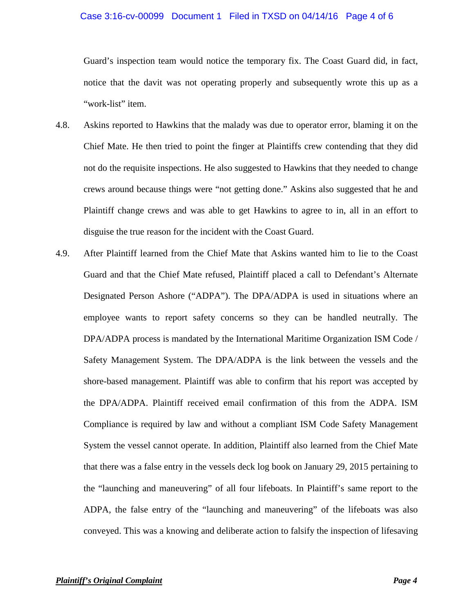#### Case 3:16-cv-00099 Document 1 Filed in TXSD on 04/14/16 Page 4 of 6

Guard's inspection team would notice the temporary fix. The Coast Guard did, in fact, notice that the davit was not operating properly and subsequently wrote this up as a "work-list" item.

- 4.8. Askins reported to Hawkins that the malady was due to operator error, blaming it on the Chief Mate. He then tried to point the finger at Plaintiffs crew contending that they did not do the requisite inspections. He also suggested to Hawkins that they needed to change crews around because things were "not getting done." Askins also suggested that he and Plaintiff change crews and was able to get Hawkins to agree to in, all in an effort to disguise the true reason for the incident with the Coast Guard.
- 4.9. After Plaintiff learned from the Chief Mate that Askins wanted him to lie to the Coast Guard and that the Chief Mate refused, Plaintiff placed a call to Defendant's Alternate Designated Person Ashore ("ADPA"). The DPA/ADPA is used in situations where an employee wants to report safety concerns so they can be handled neutrally. The DPA/ADPA process is mandated by the International Maritime Organization ISM Code / Safety Management System. The DPA/ADPA is the link between the vessels and the shore-based management. Plaintiff was able to confirm that his report was accepted by the DPA/ADPA. Plaintiff received email confirmation of this from the ADPA. ISM Compliance is required by law and without a compliant ISM Code Safety Management System the vessel cannot operate. In addition, Plaintiff also learned from the Chief Mate that there was a false entry in the vessels deck log book on January 29, 2015 pertaining to the "launching and maneuvering" of all four lifeboats. In Plaintiff's same report to the ADPA, the false entry of the "launching and maneuvering" of the lifeboats was also conveyed. This was a knowing and deliberate action to falsify the inspection of lifesaving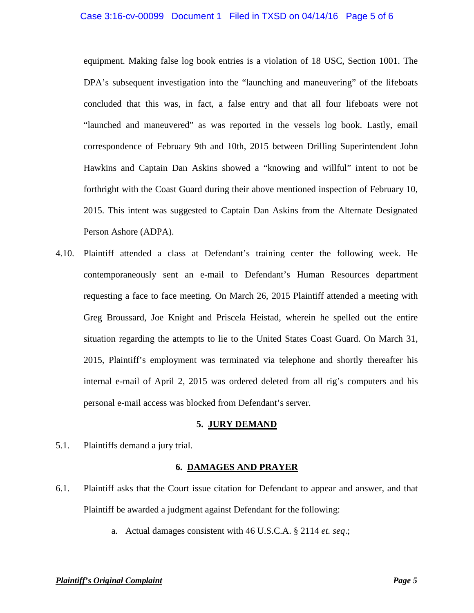#### Case 3:16-cv-00099 Document 1 Filed in TXSD on 04/14/16 Page 5 of 6

equipment. Making false log book entries is a violation of 18 USC, Section 1001. The DPA's subsequent investigation into the "launching and maneuvering" of the lifeboats concluded that this was, in fact, a false entry and that all four lifeboats were not "launched and maneuvered" as was reported in the vessels log book. Lastly, email correspondence of February 9th and 10th, 2015 between Drilling Superintendent John Hawkins and Captain Dan Askins showed a "knowing and willful" intent to not be forthright with the Coast Guard during their above mentioned inspection of February 10, 2015. This intent was suggested to Captain Dan Askins from the Alternate Designated Person Ashore (ADPA).

4.10. Plaintiff attended a class at Defendant's training center the following week. He contemporaneously sent an e-mail to Defendant's Human Resources department requesting a face to face meeting. On March 26, 2015 Plaintiff attended a meeting with Greg Broussard, Joe Knight and Priscela Heistad, wherein he spelled out the entire situation regarding the attempts to lie to the United States Coast Guard. On March 31, 2015, Plaintiff's employment was terminated via telephone and shortly thereafter his internal e-mail of April 2, 2015 was ordered deleted from all rig's computers and his personal e-mail access was blocked from Defendant's server.

#### **5. JURY DEMAND**

5.1. Plaintiffs demand a jury trial.

# **6. DAMAGES AND PRAYER**

- 6.1. Plaintiff asks that the Court issue citation for Defendant to appear and answer, and that Plaintiff be awarded a judgment against Defendant for the following:
	- a. Actual damages consistent with 46 U.S.C.A. § 2114 *et. seq*.;